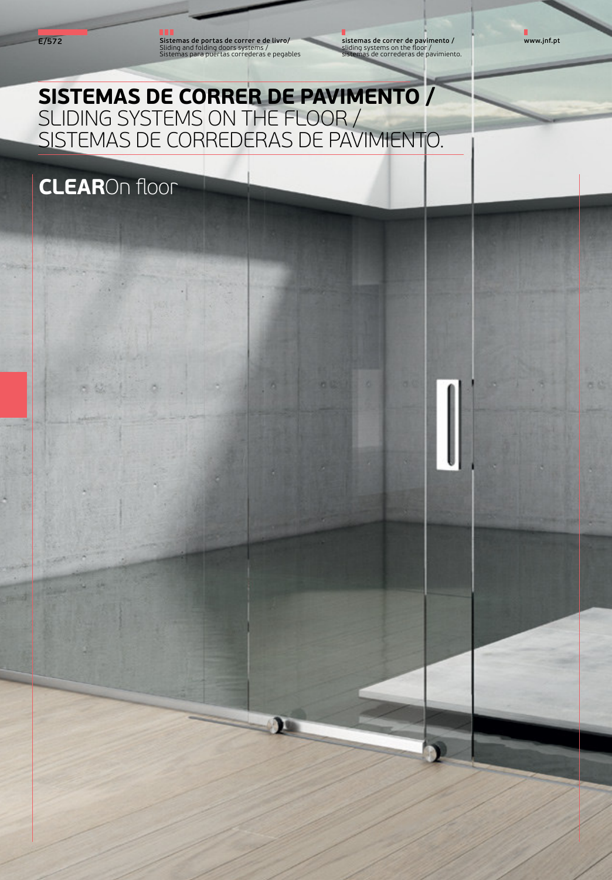**Sistemas de portas de correr e de livro/** Sliding and folding doors systems / Sistemas para puertas correderas e pegables

**sistemas de correr de pavimento /**  sliding systems on the loor / sistemas de correderas de pavimiento.

**www.jnf.pt**

### **SISTEMAS DE CORRER DE PAVIMENTO /**  SLIDING SYSTEMS ON THE FLOOR / SISTEMAS DE CORREDERAS DE PAVIMIENTO.

DГ

## **CLEAR**On floor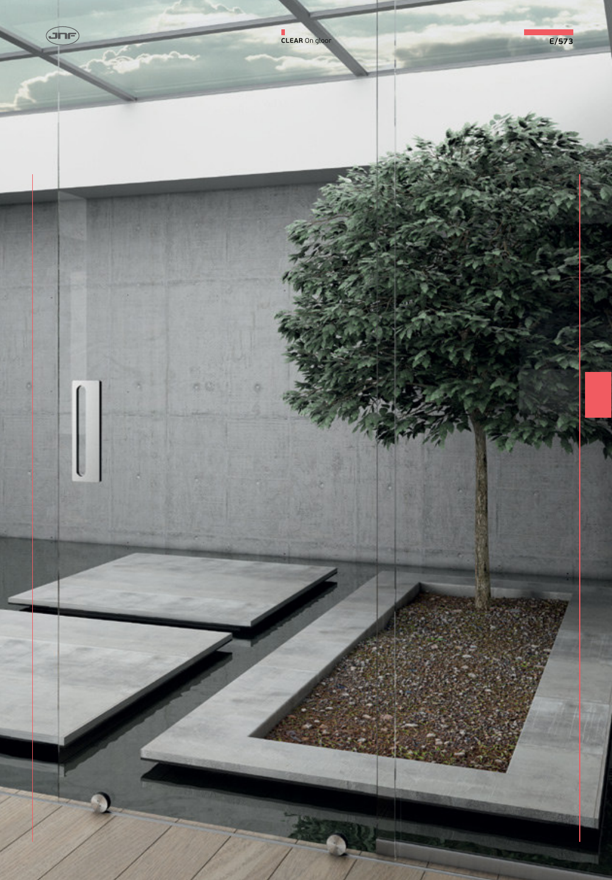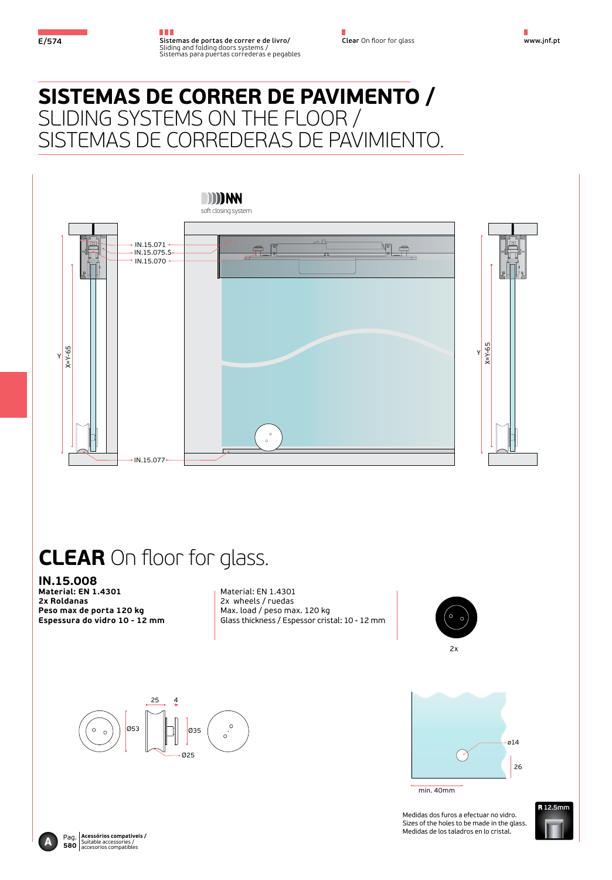**www.jnf.pt**

## **SISTEMAS DE CORRER DE PAVIMENTO /**  SLIDING SYSTEMS ON THE FLOOR / SISTEMAS DE CORREDERAS DE PAVIMIENTO.



# **CLEAR** On floor for glass.

#### **IN.15.008**

**Material: EN 1.4301 2x Roldanas Peso max de porta 120 kg Espessura do vidro 10 - 12 mm** 

 Material: EN 1.4301 2x wheels / ruedas Max. load / peso max. 120 kg Glass thickness / Espessor cristal: 10 - 12 mm







min. 40mm

Medidas dos furos a efectuar no vidro. Sizes of the holes to be made in the glass. Medidas de los taladros en lo cristal.



**Acessórios compativeis /**  Suitable accessories / accesorios compatibles Pag. **580**

**A**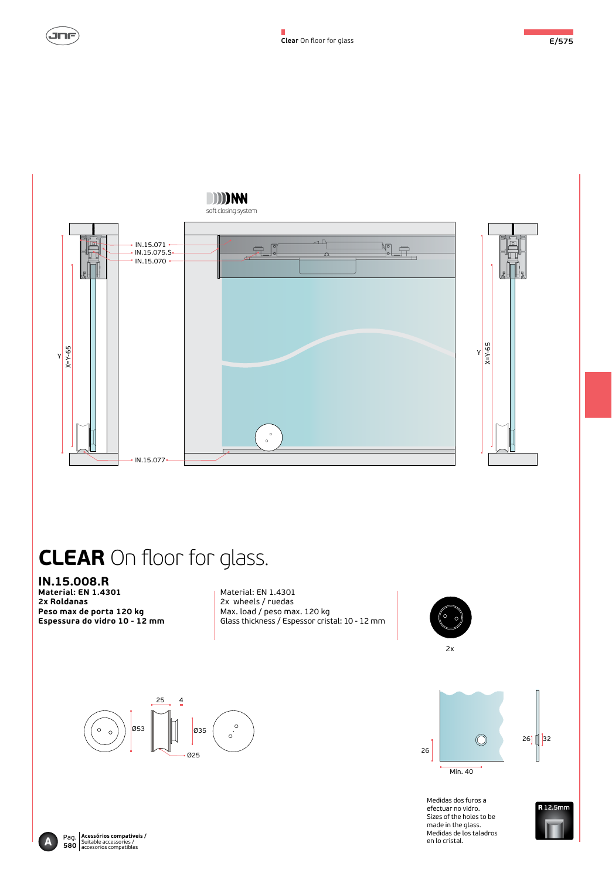

# **CLEAR** On floor for glass.

#### **IN.15.008.R**

**Material: EN 1.4301 2x Roldanas Peso max de porta 120 kg Espessura do vidro 10 - 12 mm** 

 Material: EN 1.4301 2x wheels / ruedas Max. load / peso max. 120 kg Glass thickness / Espessor cristal: 10 - 12 mm





Medidas dos furos a efectuar no vidro. Sizes of the holes to be made in the glass. Medidas de los taladros en lo cristal.



**E/575**





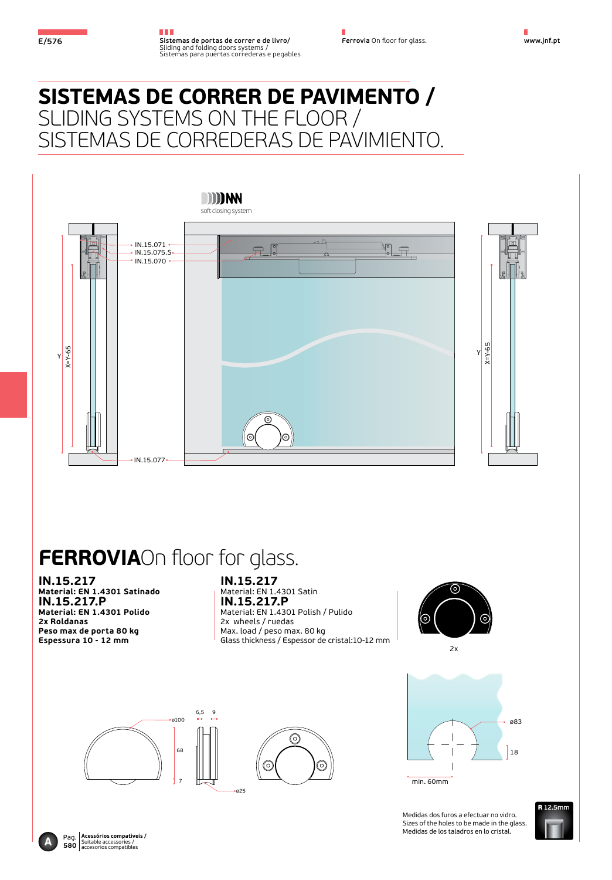**www.jnf.pt**

## **SISTEMAS DE CORRER DE PAVIMENTO /**  SLIDING SYSTEMS ON THE FLOOR / SISTEMAS DE CORREDERAS DE PAVIMIENTO.



# **FERROVIA**On floor for glass.

68

ø100

 $6,5$  9

ø25

7

#### **IN.15.217 Material: EN 1.4301 Satinado IN.15.217.P Material: EN 1.4301 Polido 2x Roldanas Peso max de porta 80 kg Espessura 10 - 12 mm**

#### **IN.15.217**  Material: EN 1.4301 Satin **IN.15.217.P**

Material: EN 1.4301 Polish / Pulido 2x wheels / ruedas Max. load / peso max. 80 kg Glass thickness / Espessor de cristal:10-12 mm

⊙

⊙

0





Medidas dos furos a efectuar no vidro. Sizes of the holes to be made in the glass. Medidas de los taladros en lo cristal.

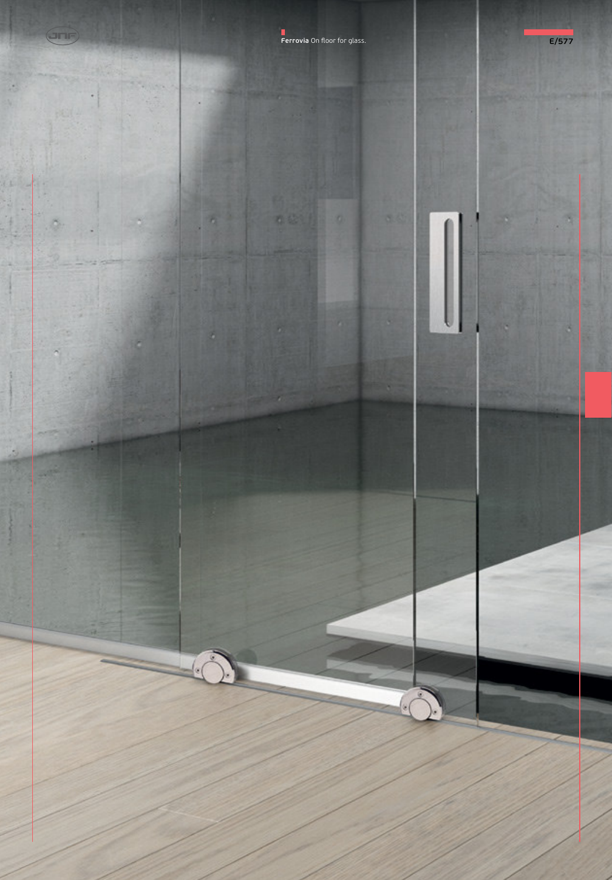